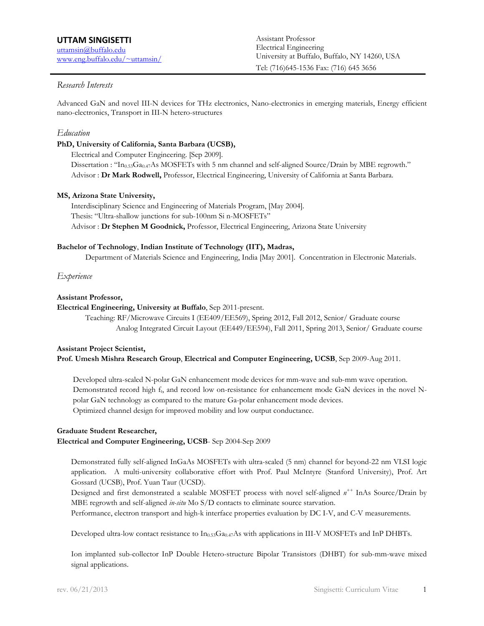# *Research Interests*

Advanced GaN and novel III-N devices for THz electronics, Nano-electronics in emerging materials, Energy efficient nano-electronics, Transport in III-N hetero-structures

### *Education*

#### **PhD, University of California, Santa Barbara (UCSB),**

Electrical and Computer Engineering. [Sep 2009]. Dissertation : "In<sub>0.53</sub>Ga<sub>0.47</sub>As MOSFETs with 5 nm channel and self-aligned Source/Drain by MBE regrowth." Advisor : **Dr Mark Rodwell,** Professor, Electrical Engineering, University of California at Santa Barbara.

#### **MS, Arizona State University,**

Interdisciplinary Science and Engineering of Materials Program, [May 2004]. Thesis: "Ultra-shallow junctions for sub-100nm Si n-MOSFETs" Advisor : **Dr Stephen M Goodnick,** Professor, Electrical Engineering, Arizona State University

#### **Bachelor of Technology**, **Indian Institute of Technology (IIT), Madras,**

Department of Materials Science and Engineering, India [May 2001]. Concentration in Electronic Materials.

# *Experience*

#### **Assistant Professor,**

#### **Assistant Professor, Electrical Engineering, University at Buffalo**, Sep 2011-present.

Teaching: RF/Microwave Circuits I (EE409/EE569), Spring 2012, Fall 2012, Senior/ Graduate course Analog Integrated Circuit Layout (EE449/EE594), Fall 2011, Spring 2013, Senior/ Graduate course

#### **Assistant Project Scientist,**

**Prof. Umesh Mishra Research Group**, **Electrical and Computer Engineering, UCSB**, Sep 2009-Aug 2011.

Developed ultra-scaled N-polar GaN enhancement mode devices for mm-wave and sub-mm wave operation. Demonstrated record high  $f<sub>t</sub>$ , and record low on-resistance for enhancement mode GaN devices in the novel Npolar GaN technology as compared to the mature Ga-polar enhancement mode devices. Optimized channel design for improved mobility and low output conductance.

# **Graduate Student Researcher,**

**Electrical and Computer Engineering, UCSB**- Sep 2004-Sep 2009

Demonstrated fully self-aligned InGaAs MOSFETs with ultra-scaled (5 nm) channel for beyond-22 nm VLSI logic application. A multi-university collaborative effort with Prof. Paul McIntyre (Stanford University), Prof. Art Gossard (UCSB), Prof. Yuan Taur (UCSD).

Designed and first demonstrated a scalable MOSFET process with novel self-aligned *n++* InAs Source/Drain by MBE regrowth and self-aligned *in-situ* Mo S/D contacts to eliminate source starvation.

Performance, electron transport and high-k interface properties evaluation by DC I-V, and C-V measurements.

Developed ultra-low contact resistance to  $In<sub>0.53</sub>Ga<sub>0.47</sub>As$  with applications in III-V MOSFETs and InP DHBTs.

Ion implanted sub-collector InP Double Hetero-structure Bipolar Transistors (DHBT) for sub-mm-wave mixed signal applications.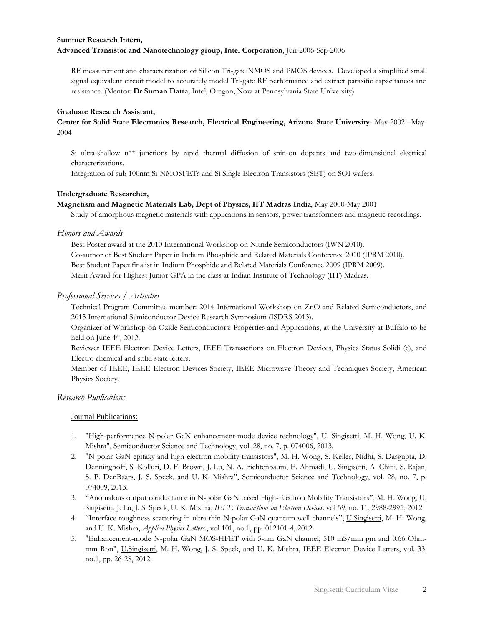# **Summer Research Intern, Advanced Transistor and Nanotechnology group, Intel Corporation**, Jun-2006-Sep-2006

RF measurement and characterization of Silicon Tri-gate NMOS and PMOS devices. Developed a simplified small signal equivalent circuit model to accurately model Tri-gate RF performance and extract parasitic capacitances and resistance. (Mentor: **Dr Suman Datta**, Intel, Oregon, Now at Pennsylvania State University)

### **Graduate Research Assistant,**

**Center for Solid State Electronics Research, Electrical Engineering, Arizona State University**- May-2002 –May-2004

Si ultra-shallow  $n^{++}$  junctions by rapid thermal diffusion of spin-on dopants and two-dimensional electrical characterizations.

Integration of sub 100nm Si-NMOSFETs and Si Single Electron Transistors (SET) on SOI wafers.

# **Undergraduate Researcher,**

**Magnetism and Magnetic Materials Lab, Dept of Physics, IIT Madras India**, May 2000-May 2001

Study of amorphous magnetic materials with applications in sensors, power transformers and magnetic recordings.

#### *Honors and Awards*

 Merit Award for Highest Junior GPA in the class at Indian Institute of Technology (IIT) Madras. Best Poster award at the 2010 International Workshop on Nitride Semiconductors (IWN 2010). Co-author of Best Student Paper in Indium Phosphide and Related Materials Conference 2010 (IPRM 2010). Best Student Paper finalist in Indium Phosphide and Related Materials Conference 2009 (IPRM 2009).

# *Professional Services / Activities*

Technical Program Committee member: 2014 International Workshop on ZnO and Related Semiconductors, and 2013 International Semiconductor Device Research Symposium (ISDRS 2013).

Organizer of Workshop on Oxide Semiconductors: Properties and Applications, at the University at Buffalo to be held on June  $4<sup>th</sup>$ , 2012.

Reviewer IEEE Electron Device Letters, IEEE Transactions on Electron Devices, Physica Status Solidi (c), and Electro chemical and solid state letters.

Member of IEEE, IEEE Electron Devices Society, IEEE Microwave Theory and Techniques Society, American Physics Society.

# *Research Publications*

# Journal Publications:

- 1. "High-performance N-polar GaN enhancement-mode device technology", U. Singisetti, M. H. Wong, U. K. Mishra", Semiconductor Science and Technology, vol. 28, no. 7, p. 074006, 2013.
- 2. "N-polar GaN epitaxy and high electron mobility transistors", M. H. Wong, S. Keller, Nidhi, S. Dasgupta, D. Denninghoff, S. Kolluri, D. F. Brown, J. Lu, N. A. Fichtenbaum, E. Ahmadi, U. Singisetti, A. Chini, S. Rajan, S. P. DenBaars, J. S. Speck, and U. K. Mishra", Semiconductor Science and Technology, vol. 28, no. 7, p. 074009, 2013.
- 3. "Anomalous output conductance in N-polar GaN based High-Electron Mobility Transistors", M. H. Wong, U. Singisetti, J. Lu, J. S. Speck, U. K. Mishra, *IEEE Transactions on Electron Devices,* vol 59, no. 11, 2988-2995, 2012.
- 4. "Interface roughness scattering in ultra-thin N-polar GaN quantum well channels", U.Singisetti, M. H. Wong, and U. K. Mishra, *Applied Physics Letters.*, vol 101, no.1, pp. 012101-4, 2012.
- 5. "Enhancement-mode N-polar GaN MOS-HFET with 5-nm GaN channel, 510 mS/mm gm and 0.66 Ohmmm Ron", U.Singisetti, M. H. Wong, J. S. Speck, and U. K. Mishra, IEEE Electron Device Letters, vol. 33, no.1, pp. 26-28, 2012.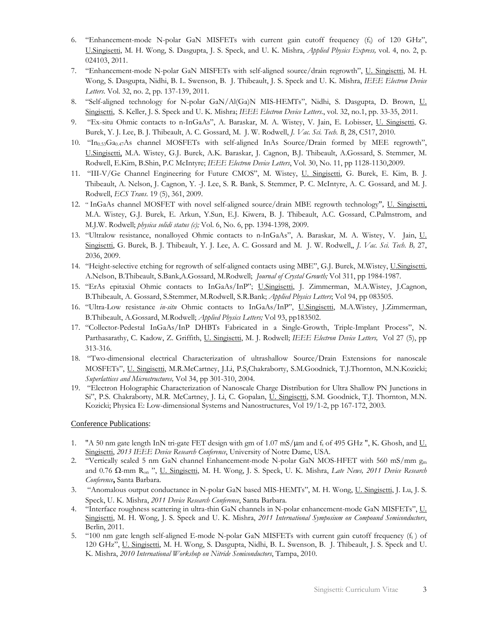- 6. "Enhancement-mode N-polar GaN MISFETs with current gain cutoff frequency  $(f_t)$  of 120 GHz", U.Singisetti, M. H. Wong, S. Dasgupta, J. S. Speck, and U. K. Mishra, *Applied Physics Express,* vol. 4, no. 2, p. 024103, 2011.
- Wong, S. Dasgupta, Nidhi, B. L. Swenson, B. J. Thibeault, J. S. Speck and U. K. Mishra, *IEEE Electron Device*  7. "Enhancement-mode N-polar GaN MISFETs with self-aligned source/drain regrowth", U. Singisetti, M. H. *Letters*. Vol. 32, no. 2, pp. 137-139, 2011.
- 8. "Self-aligned technology for N-polar GaN/Al(Ga)N MIS-HEMTs", Nidhi, S. Dasgupta, D. Brown, U. Singisetti, S. Keller, J. S. Speck and U. K. Mishra; *IEEE Electron Device Letters*., vol. 32, no.1, pp. 33-35, 2011.
- 9. "Ex-situ Ohmic contacts to n-InGaAs", A. Baraskar, M. A. Wistey, V. Jain, E. Lobisser, U. Singisetti, G. Burek, Y. J. Lee, B. J. Thibeault, A. C. Gossard, M. J. W. Rodwell, *J. Vac. Sci. Tech. B*, 28, C517, 2010.
- 10. "In0.53Ga0.47As channel MOSFETs with self-aligned InAs Source/Drain formed by MEE regrowth", U.Singisetti, M.A. Wistey, G.J. Burek, A.K. Baraskar, J. Cagnon, B.J. Thibeault, A.Gossard, S. Stemmer, M. Rodwell, E.Kim, B.Shin, P.C McIntyre; *IEEE Electron Device Letters*, Vol. 30, No. 11, pp 1128-1130,2009.
- 11. "III-V/Ge Channel Engineering for Future CMOS", M. Wistey, U. Singisetti, G. Burek, E. Kim, B. J. Thibeault, A. Nelson, J. Cagnon, Y. -J. Lee, S. R. Bank, S. Stemmer, P. C. McIntyre, A. C. Gossard, and M. J. Rodwell, *ECS Trans*. 19 (5), 361, 2009.
- M.A. Wistey, G.J. Burek, E. Arkun, Y.Sun, E.J. Kiwera, B. J. Thibeault, A.C. Gossard, C.Palmstrom, and 12. " InGaAs channel MOSFET with novel self-aligned source/drain MBE regrowth technology", U. Singisetti, M.J.W. Rodwell; *physica solidi status (c);* Vol. 6, No. 6, pp. 1394-1398, 2009.
- Singisetti, G. Burek, B. J. Thibeault, Y. J. Lee, A. C. Gossard and M. J. W. Rodwell,, *J. Vac. Sci. Tech. B,* 27, 13. "Ultralow resistance, nonalloyed Ohmic contacts to n-InGaAs", A. Baraskar, M. A. Wistey, V. Jain, U. 2036, 2009.
- 14. "Height-selective etching for regrowth of self-aligned contacts using MBE", G.J. Burek, M.Wistey, U.Singisetti, A.Nelson, B.Thibeault, S.Bank,A.Gossard, M.Rodwell; *Journal of Crystal Growth;* Vol 311, pp 1984-1987.
- 15. "ErAs epitaxial Ohmic contacts to InGaAs/InP"; U.Singisetti, J. Zimmerman, M.A.Wistey, J.Cagnon, B.Thibeault, A. Gossard, S.Stemmer, M.Rodwell, S.R.Bank; *Applied Physics Letters*; Vol 94, pp 083505.
- 16. "Ultra-Low resistance *in-situ* Ohmic contacts to InGaAs/InP", U.Singisetti, M.A.Wistey, J.Zimmerman, B.Thibeault, A.Gossard, M.Rodwell; *Applied Physics Letters;* Vol 93, pp183502.
- Parthasarathy, C. Kadow, Z. Griffith, U. Singisetti, M. J. Rodwell; *IEEE Electron Device Letters,* Vol 27 (5), pp 17. "Collector-Pedestal InGaAs/InP DHBTs Fabricated in a Single-Growth, Triple-Implant Process", N. 313-316.
- 18. "Two-dimensional electrical Characterization of ultrashallow Source/Drain Extensions for nanoscale MOSFETs", U. Singisetti, M.R.McCartney, J.Li, P.S.Chakraborty, S.M.Goodnick, T.J.Thornton, M.N.Kozicki; *Superlattices and Microstructures,* Vol 34, pp 301-310, 2004.
- 19. "Electron Holographic Characterization of Nanoscale Charge Distribution for Ultra Shallow PN Junctions in Si", P.S. Chakraborty, M.R. McCartney, J. Li, C. Gopalan, U. Singisetti, S.M. Goodnick, T.J. Thornton, M.N. Kozicki; Physica E: Low-dimensional Systems and Nanostructures, Vol 19/1-2, pp 167-172, 2003.

# Conference Publications:

- 1. "A 50 nm gate length InN tri-gate FET design with gm of 1.07 mS/μm and ft of 495 GHz ", K. Ghosh, and U. Singisetti, *2013 IEEE Device Research Conference*, University of Notre Dame, USA.
- 2. "Vertically scaled 5 nm GaN channel Enhancement-mode N-polar GaN MOS-HFET with 560 mS/mm  $g_m$ and 0.76 Ω-mm Ron ", U. Singisetti, M. H. Wong, J. S. Speck, U. K. Mishra, *Late News, 2011 Device Research Conference***,** Santa Barbara.
- 3. "Anomalous output conductance in N-polar GaN based MIS-HEMTs", M. H. Wong, U. Singisetti, J. Lu, J. S. Speck, U. K. Mishra, 2011 Device Research Conference, Santa Barbara.
- 4. "Interface roughness scattering in ultra-thin GaN channels in N-polar enhancement-mode GaN MISFETs", U. Singisetti, M. H. Wong, J. S. Speck and U. K. Mishra, *2011 International Symposium on Compound Semiconductors*, Berlin, 2011.
- 5. "100 nm gate length self-aligned E-mode N-polar GaN MISFETs with current gain cutoff frequency  $(f_t)$  of 120 GHz", U. Singisetti, M. H. Wong, S. Dasgupta, Nidhi, B. L. Swenson, B. J. Thibeault, J. S. Speck and U. K. Mishra, *2010 International Workshop on Nitride Semiconductors*, Tampa, 2010.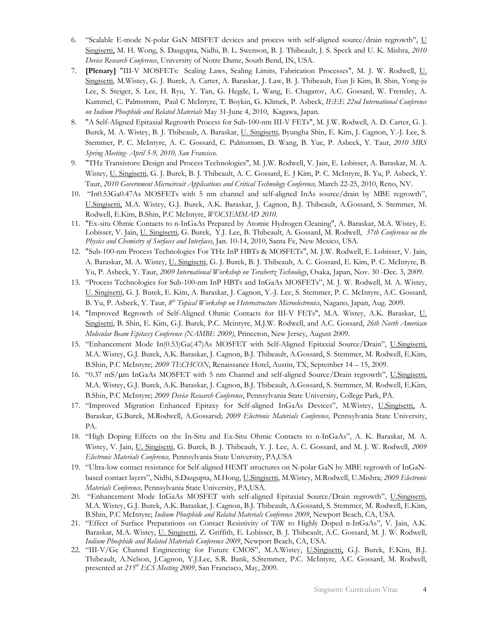- Singisetti, M. H. Wong, S. Dasgupta, Nidhi, B. L. Swenson, B. J. Thibeault, J. S. Speck and U. K. Mishra, *2010*  6. "Scalable E-mode N-polar GaN MISFET devices and process with self-aligned source/drain regrowth", U *Device Research Conference*, University of Notre Dame, South Bend, IN, USA.
- 7. **[Plenary]** "III-V MOSFETs: Scaling Laws, Scaling Limits, Fabrication Processes", M. J. W. Rodwell, U. Singisetti, M.Wistey, G. J. Burek, A. Carter, A. Baraskar, J. Law, B. J. Thibeault, Eun Ji Kim, B. Shin, Yong-ju Lee, S. Steiger, S. Lee, H. Ryu, Y. Tan, G. Hegde, L. Wang, E. Chagarov, A.C. Gossard, W. Frensley, A. Kummel, C. Palmstrøm, Paul C McIntyre, T. Boykin, G. Klimek, P. Asbeck, *IEEE 22nd International Conference on Indium Phosphide and Related Materials* May 31-June 4, 2010, Kagawa, Japan.
- 8. "A Self-Aligned Epitaxial Regrowth Process for Sub-100-nm III-V FETs", M. J.W. Rodwell, A. D. Carter, G. J. Burek, M. A. Wistey, B. J. Thibeault, A. Baraskar, U. Singisetti, Byungha Shin, E. Kim, J. Cagnon, Y.-J. Lee, S. Stemmer, P. C. McIntyre, A. C. Gossard, C. Palmstrøm, D. Wang, B. Yue, P. Asbeck, Y. Taur, *2010 MRS Spring Meeting- April 5-9, 2010, San Francisco*.
- Wistey, U. Singisetti, G. J. Burek, B. J. Thibeault, A. C. Gossard, E. J Kim, P. C. McIntyre, B. Yu, P. Asbeck, Y. 9. "THz Transistors: Design and Process Technologies", M. J.W. Rodwell, V. Jain, E. Lobisser, A. Baraskar, M. A. Taur, *2010 Government Microcircuit Applications and Critical Technology Conference,* March 22-25, 2010, Reno, NV.
- 10. "In0.53Ga0.47As MOSFETs with 5 nm channel and self-aligned InAs source/drain by MBE regrowth", U.Singisetti, M.A. Wistey, G.J. Burek, A.K. Baraskar, J. Cagnon, B.J. Thibeault, A.Gossard, S. Stemmer, M. Rodwell, E.Kim, B.Shin, P.C McIntyre, *WOCSEMMAD 2010*.
- 11. "Ex-situ Ohmic Contacts to n-InGaAs Prepared by Atomic Hydrogen Cleaning", A. Baraskar, M.A. Wistey, E. Lobisser, V. Jain, U. Singisetti, G. Burek, Y.J. Lee, B. Thibeault, A. Gossard, M. Rodwell, *37th Conference on the Physics and Chemistry of Surfaces and Interfaces*, Jan. 10-14, 2010, Santa Fe, New Mexico, USA.
- A. Baraskar, M. A. Wistey, U. Singisetti, G. J. Burek, B. J. Thibeault, A. C. Gossard, E. Kim, P. C. McIntyre, B. 12. "Sub-100-nm Process Technologies For THz InP HBTs & MOSFETs", M. J.W. Rodwell, E. Lobisser, V. Jain, Yu, P. Asbeck, Y. Taur, *2009 International Workshop on Terahertz Technology*, Osaka, Japan, Nov. 30 -Dec. 3, 2009.
- 13. "Process Technologies for Sub-100-nm InP HBTs and InGaAs MOSFETs", M. J. W. Rodwell, M. A. Wistey, U. Singisetti, G. J. Burek, E. Kim, A. Baraskar, J. Cagnon, Y.-J. Lee, S. Stemmer, P. C. McIntyre, A.C. Gossard, B. Yu, P. Asbeck, Y. Taur, *8th Topical Workshop on Heterostructure Microelectronics*, Nagano, Japan, Aug. 2009.
- 14. "Improved Regrowth of Self-Aligned Ohmic Contacts for III-V FETs", M.A. Wistey, A.K. Baraskar, U. Singisetti, B. Shin, E. Kim, G.J. Burek, P.C. Mcintyre, M.J.W. Rodwell, and A.C. Gossard, *26th North American Molecular Beam Epitaxy Conference (NAMBE 2009)*, Princeton, New Jersey, August 2009.
- 15. "Enhancement Mode In(0.53)Ga(.47)As MOSFET with Self-Aligned Epitaxial Source/Drain", U.Singisetti, M.A. Wistey, G.J. Burek, A.K. Baraskar, J. Cagnon, B.J. Thibeault, A.Gossard, S. Stemmer, M. Rodwell, E.Kim, B.Shin, P.C McIntyre; *2009 TECHCON*, Renaissance Hotel, Austin, TX, September 14 – 15, 2009.
- B.Shin, P.C McIntyre; *2009 Device Research Conference*, Pennsylvania State University, College Park, PA. 16. "0.37 mS/μm InGaAs MOSFET with 5 nm Channel and self-aligned Source/Drain regrowth", U.Singisetti, M.A. Wistey, G.J. Burek, A.K. Baraskar, J. Cagnon, B.J. Thibeault, A.Gossard, S. Stemmer, M. Rodwell, E.Kim,
- 17. "Improved Migration Enhanced Epitaxy for Self-aligned InGaAs Devices", M.Wistey, U.Singisetti, A. Baraskar, G.Burek, M.Rodwell, A.Gossarsd; *2009 Electronic Materials Conference,* Pennsylvania State University, PA.
- Wistey, V. Jain, U. Singisetti, G. Burek, B. J. Thibeault, Y. J. Lee, A. C. Gossard, and M. J. W. Rodwell, *2009*  18. "High Doping Effects on the In-Situ and Ex-Situ Ohmic Contacts to n-InGaAs", A. K. Baraskar, M. A. *Electronic Materials Conference,* Pennsylvania State University, PA,USA
- 19. "Ultra-low contact resistance for Self-aligned HEMT structures on N-polar GaN by MBE regrowth of InGaNbased contact layers", Nidhi, S.Dasgupta, M.Hong, U.Singisetti, M.Wistey, M.Rodwell, U.Mishra; *2009 Electronic Materials Conference,* Pennsylvania State University, PA,USA.
- 20. "Enhancement Mode InGaAs MOSFET with self-aligned Epitaxial Source/Drain regrowth", U.Singisetti, M.A. Wistey, G.J. Burek, A.K. Baraskar, J. Cagnon, B.J. Thibeault, A.Gossard, S. Stemmer, M. Rodwell, E.Kim, B.Shin, P.C McIntyre; *Indium Phosphide and Related Materials Conference 2009*, Newport Beach, CA, USA.
- Baraskar, M.A. Wistey, U. Singisetti, Z. Griffith, E. Lobisser, B. J. Thibeault, A.C. Gossard, M. J. W. Rodwell, 21. "Effect of Surface Preparations on Contact Resistivity of TiW to Highly Doped n-InGaAs", V. Jain, A.K. *Indium Phosphide and Related Materials Conference 2009*, Newport Beach, CA, USA.
- 22. "III-V/Ge Channel Engineering for Future CMOS", M.A.Wistey, U.Singisetti, G.J. Burek, E.Kim, B.J. Thibeault, A.Nelson, J.Cagnon, Y.J.Lee, S.R. Bank, S.Stemmer, P.C. McIntyre, A.C. Gossard, M. Rodwell, presented at *215th ECS Meeting 2009,* San Francisco, May, 2009.